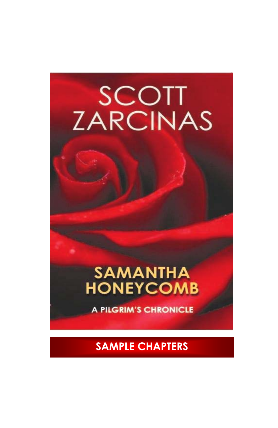# SCOTT<br>ZARCINAS

## **SAMANTHA**<br>HONEYCOMB

**A PILGRIM'S CHRONICLE** 

**SAMPLE CHAPTERS**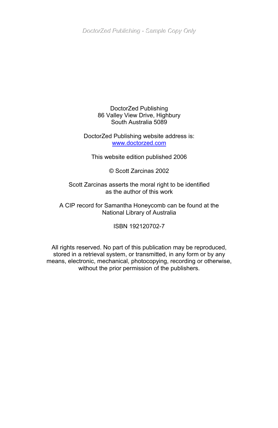DoctorZed Publishing - Sample Copy Only

#### DoctorZed Publishing 86 Valley View Drive, Highbury South Australia 5089

#### DoctorZed Publishing website address is: [www.doctorzed.com](http://www.doctorzed.com/)

This website edition published 2006

© Scott Zarcinas 2002

Scott Zarcinas asserts the moral right to be identified as the author of this work

A CIP record for Samantha Honeycomb can be found at the National Library of Australia

ISBN 192120702-7

All rights reserved. No part of this publication may be reproduced, stored in a retrieval system, or transmitted, in any form or by any means, electronic, mechanical, photocopying, recording or otherwise, without the prior permission of the publishers.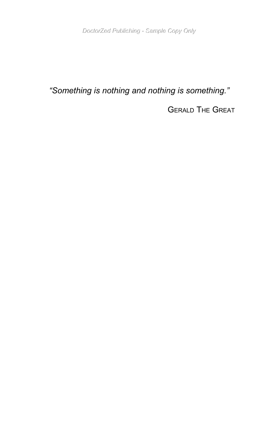#### *"Something is nothing and nothing is something."*

GERALD THE GREAT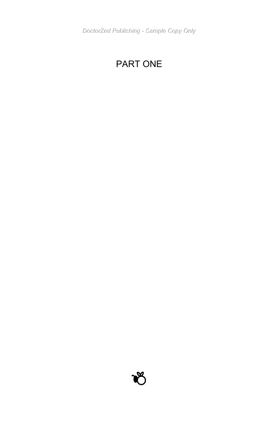### PART ONE

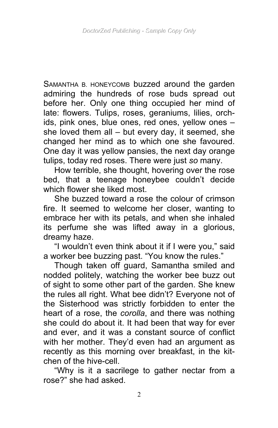SAMANTHA B. HONEYCOMB buzzed around the garden admiring the hundreds of rose buds spread out before her. Only one thing occupied her mind of late: flowers. Tulips, roses, geraniums, lilies, orchids, pink ones, blue ones, red ones, yellow ones – she loved them all – but every day, it seemed, she changed her mind as to which one she favoured. One day it was yellow pansies, the next day orange tulips, today red roses. There were just *so* many.

How terrible, she thought, hovering over the rose bed, that a teenage honeybee couldn't decide which flower she liked most.

She buzzed toward a rose the colour of crimson fire. It seemed to welcome her closer, wanting to embrace her with its petals, and when she inhaled its perfume she was lifted away in a glorious, dreamy haze.

"I wouldn't even think about it if I were you," said a worker bee buzzing past. "You know the rules."

Though taken off guard, Samantha smiled and nodded politely, watching the worker bee buzz out of sight to some other part of the garden. She knew the rules all right. What bee didn't? Everyone not of the Sisterhood was strictly forbidden to enter the heart of a rose, the *corolla*, and there was nothing she could do about it. It had been that way for ever and ever, and it was a constant source of conflict with her mother. They'd even had an argument as recently as this morning over breakfast, in the kitchen of the hive-cell.

"Why is it a sacrilege to gather nectar from a rose?" she had asked.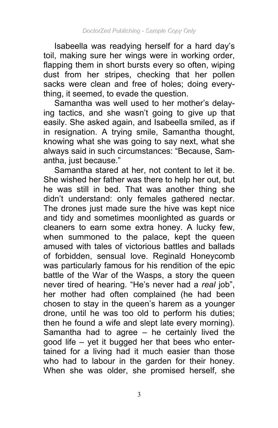Isabeella was readying herself for a hard day's toil, making sure her wings were in working order, flapping them in short bursts every so often, wiping dust from her stripes, checking that her pollen sacks were clean and free of holes; doing everything, it seemed, to evade the question.

Samantha was well used to her mother's delaying tactics, and she wasn't going to give up that easily. She asked again, and Isabeella smiled, as if in resignation. A trying smile, Samantha thought, knowing what she was going to say next, what she always said in such circumstances: "Because, Samantha, just because."

Samantha stared at her, not content to let it be. She wished her father was there to help her out, but he was still in bed. That was another thing she didn't understand: only females gathered nectar. The drones just made sure the hive was kept nice and tidy and sometimes moonlighted as guards or cleaners to earn some extra honey. A lucky few, when summoned to the palace, kept the queen amused with tales of victorious battles and ballads of forbidden, sensual love. Reginald Honeycomb was particularly famous for his rendition of the epic battle of the War of the Wasps, a story the queen never tired of hearing. "He's never had a *real* job", her mother had often complained (he had been chosen to stay in the queen's harem as a younger drone, until he was too old to perform his duties; then he found a wife and slept late every morning). Samantha had to agree  $-$  he certainly lived the good life – yet it bugged her that bees who entertained for a living had it much easier than those who had to labour in the garden for their honey. When she was older, she promised herself, she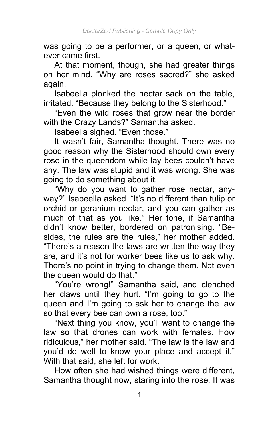was going to be a performer, or a queen, or whatever came first.

At that moment, though, she had greater things on her mind. "Why are roses sacred?" she asked again.

Isabeella plonked the nectar sack on the table, irritated. "Because they belong to the Sisterhood."

"Even the wild roses that grow near the border with the Crazy Lands?" Samantha asked.

Isabeella sighed. "Even those."

It wasn't fair, Samantha thought. There was no good reason why the Sisterhood should own every rose in the queendom while lay bees couldn't have any. The law was stupid and it was wrong. She was going to do something about it.

"Why do you want to gather rose nectar, anyway?" Isabeella asked. "It's no different than tulip or orchid or geranium nectar, and you can gather as much of that as you like." Her tone, if Samantha didn't know better, bordered on patronising. "Besides, the rules are the rules," her mother added. "There's a reason the laws are written the way they are, and it's not for worker bees like us to ask why. There's no point in trying to change them. Not even the queen would do that."

"You're wrong!" Samantha said, and clenched her claws until they hurt. "I'm going to go to the queen and I'm going to ask her to change the law so that every bee can own a rose, too."

"Next thing you know, you'll want to change the law so that drones can work with females. How ridiculous," her mother said. "The law is the law and you'd do well to know your place and accept it." With that said, she left for work.

How often she had wished things were different, Samantha thought now, staring into the rose. It was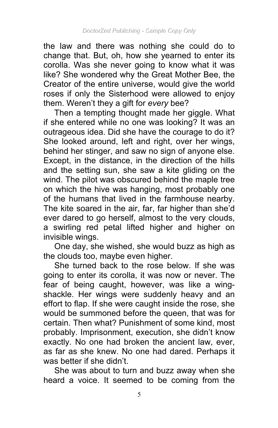the law and there was nothing she could do to change that. But, oh, how she yearned to enter its corolla. Was she never going to know what it was like? She wondered why the Great Mother Bee, the Creator of the entire universe, would give the world roses if only the Sisterhood were allowed to enjoy them. Weren't they a gift for *every* bee?

Then a tempting thought made her giggle. What if she entered while no one was looking? It was an outrageous idea. Did she have the courage to do it? She looked around, left and right, over her wings, behind her stinger, and saw no sign of anyone else. Except, in the distance, in the direction of the hills and the setting sun, she saw a kite gliding on the wind. The pilot was obscured behind the maple tree on which the hive was hanging, most probably one of the humans that lived in the farmhouse nearby. The kite soared in the air, far, far higher than she'd ever dared to go herself, almost to the very clouds, a swirling red petal lifted higher and higher on invisible wings.

One day, she wished, she would buzz as high as the clouds too, maybe even higher.

She turned back to the rose below. If she was going to enter its corolla, it was now or never. The fear of being caught, however, was like a wingshackle. Her wings were suddenly heavy and an effort to flap. If she were caught inside the rose, she would be summoned before the queen, that was for certain. Then what? Punishment of some kind, most probably. Imprisonment, execution, she didn't know exactly. No one had broken the ancient law, ever, as far as she knew. No one had dared. Perhaps it was better if she didn't.

She was about to turn and buzz away when she heard a voice. It seemed to be coming from the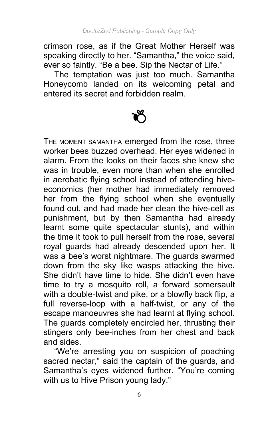crimson rose, as if the Great Mother Herself was speaking directly to her. "Samantha," the voice said, ever so faintly. "Be a bee. Sip the Nectar of Life."

The temptation was just too much. Samantha Honeycomb landed on its welcoming petal and entered its secret and forbidden realm.

THE MOMENT SAMANTHA emerged from the rose, three worker bees buzzed overhead. Her eyes widened in alarm. From the looks on their faces she knew she was in trouble, even more than when she enrolled in aerobatic flying school instead of attending hiveeconomics (her mother had immediately removed her from the flying school when she eventually found out, and had made her clean the hive-cell as punishment, but by then Samantha had already learnt some quite spectacular stunts), and within the time it took to pull herself from the rose, several royal guards had already descended upon her. It was a bee's worst nightmare. The guards swarmed down from the sky like wasps attacking the hive. She didn't have time to hide. She didn't even have time to try a mosquito roll, a forward somersault with a double-twist and pike, or a blowfly back flip, a full reverse-loop with a half-twist, or any of the escape manoeuvres she had learnt at flying school. The guards completely encircled her, thrusting their stingers only bee-inches from her chest and back and sides.

"We're arresting you on suspicion of poaching sacred nectar," said the captain of the guards, and Samantha's eyes widened further. "You're coming with us to Hive Prison young lady."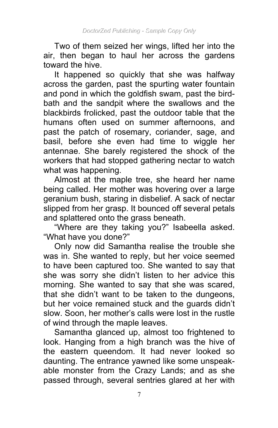Two of them seized her wings, lifted her into the air, then began to haul her across the gardens toward the hive.

It happened so quickly that she was halfway across the garden, past the spurting water fountain and pond in which the goldfish swam, past the birdbath and the sandpit where the swallows and the blackbirds frolicked, past the outdoor table that the humans often used on summer afternoons, and past the patch of rosemary, coriander, sage, and basil, before she even had time to wiggle her antennae. She barely registered the shock of the workers that had stopped gathering nectar to watch what was happening.

Almost at the maple tree, she heard her name being called. Her mother was hovering over a large geranium bush, staring in disbelief. A sack of nectar slipped from her grasp. It bounced off several petals and splattered onto the grass beneath.

"Where are they taking you?" Isabeella asked. "What have you done?"

Only now did Samantha realise the trouble she was in. She wanted to reply, but her voice seemed to have been captured too. She wanted to say that she was sorry she didn't listen to her advice this morning. She wanted to say that she was scared, that she didn't want to be taken to the dungeons, but her voice remained stuck and the guards didn't slow. Soon, her mother's calls were lost in the rustle of wind through the maple leaves.

Samantha glanced up, almost too frightened to look. Hanging from a high branch was the hive of the eastern queendom. It had never looked so daunting. The entrance yawned like some unspeakable monster from the Crazy Lands; and as she passed through, several sentries glared at her with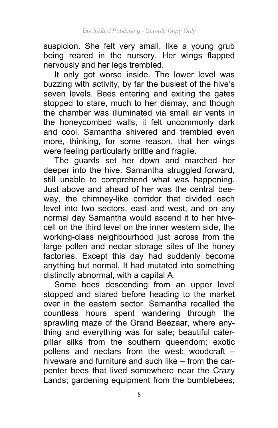suspicion. She felt very small, like a young grub being reared in the nursery. Her wings flapped nervously and her legs trembled.

It only got worse inside. The lower level was buzzing with activity, by far the busiest of the hive's seven levels. Bees entering and exiting the gates stopped to stare, much to her dismay, and though the chamber was illuminated via small air vents in the honeycombed walls, it felt uncommonly dark and cool. Samantha shivered and trembled even more, thinking, for some reason, that her wings were feeling particularly brittle and fragile.

The guards set her down and marched her deeper into the hive. Samantha struggled forward, still unable to comprehend what was happening. Just above and ahead of her was the central beeway, the chimney-like corridor that divided each level into two sectors, east and west, and on any normal day Samantha would ascend it to her hivecell on the third level on the inner western side, the working-class neighbourhood just across from the large pollen and nectar storage sites of the honey factories. Except this day had suddenly become anything but normal. It had mutated into something distinctly abnormal, with a capital A.

Some bees descending from an upper level stopped and stared before heading to the market over in the eastern sector. Samantha recalled the countless hours spent wandering through the sprawling maze of the Grand Beezaar, where anything and everything was for sale; beautiful caterpillar silks from the southern queendom; exotic pollens and nectars from the west; woodcraft – hiveware and furniture and such like – from the carpenter bees that lived somewhere near the Crazy Lands; gardening equipment from the bumblebees;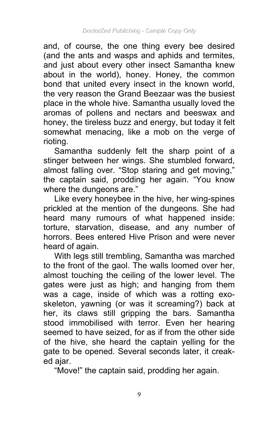and, of course, the one thing every bee desired (and the ants and wasps and aphids and termites, and just about every other insect Samantha knew about in the world), honey. Honey, the common bond that united every insect in the known world, the very reason the Grand Beezaar was the busiest place in the whole hive. Samantha usually loved the aromas of pollens and nectars and beeswax and honey, the tireless buzz and energy, but today it felt somewhat menacing, like a mob on the verge of rioting.

Samantha suddenly felt the sharp point of a stinger between her wings. She stumbled forward, almost falling over. "Stop staring and get moving," the captain said, prodding her again. "You know where the dungeons are."

Like every honeybee in the hive, her wing-spines prickled at the mention of the dungeons. She had heard many rumours of what happened inside: torture, starvation, disease, and any number of horrors. Bees entered Hive Prison and were never heard of again.

With legs still trembling, Samantha was marched to the front of the gaol. The walls loomed over her, almost touching the ceiling of the lower level. The gates were just as high; and hanging from them was a cage, inside of which was a rotting exoskeleton, yawning (or was it screaming?) back at her, its claws still gripping the bars. Samantha stood immobilised with terror. Even her hearing seemed to have seized, for as if from the other side of the hive, she heard the captain yelling for the gate to be opened. Several seconds later, it creaked ajar.

"Move!" the captain said, prodding her again.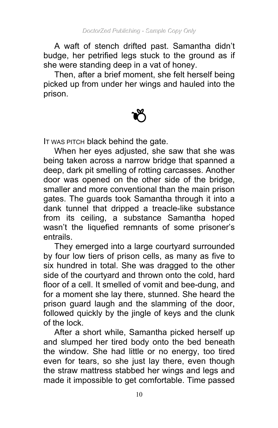A waft of stench drifted past. Samantha didn't budge, her petrified legs stuck to the ground as if she were standing deep in a vat of honey.

Then, after a brief moment, she felt herself being picked up from under her wings and hauled into the prison.



IT WAS PITCH black behind the gate.

When her eyes adjusted, she saw that she was being taken across a narrow bridge that spanned a deep, dark pit smelling of rotting carcasses. Another door was opened on the other side of the bridge. smaller and more conventional than the main prison gates. The guards took Samantha through it into a dank tunnel that dripped a treacle-like substance from its ceiling, a substance Samantha hoped wasn't the liquefied remnants of some prisoner's entrails.

They emerged into a large courtyard surrounded by four low tiers of prison cells, as many as five to six hundred in total. She was dragged to the other side of the courtyard and thrown onto the cold, hard floor of a cell. It smelled of vomit and bee-dung, and for a moment she lay there, stunned. She heard the prison guard laugh and the slamming of the door, followed quickly by the jingle of keys and the clunk of the lock.

After a short while, Samantha picked herself up and slumped her tired body onto the bed beneath the window. She had little or no energy, too tired even for tears, so she just lay there, even though the straw mattress stabbed her wings and legs and made it impossible to get comfortable. Time passed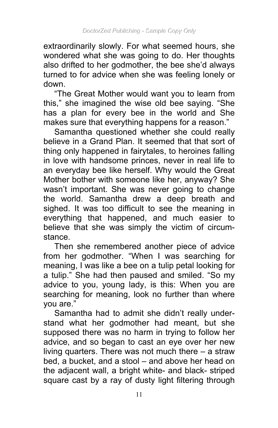extraordinarily slowly. For what seemed hours, she wondered what she was going to do. Her thoughts also drifted to her godmother, the bee she'd always turned to for advice when she was feeling lonely or down.

"The Great Mother would want you to learn from this," she imagined the wise old bee saying. "She has a plan for every bee in the world and She makes sure that everything happens for a reason."

Samantha questioned whether she could really believe in a Grand Plan. It seemed that that sort of thing only happened in fairytales, to heroines falling in love with handsome princes, never in real life to an everyday bee like herself. Why would the Great Mother bother with someone like her, anyway? She wasn't important. She was never going to change the world. Samantha drew a deep breath and sighed. It was too difficult to see the meaning in everything that happened, and much easier to believe that she was simply the victim of circumstance.

Then she remembered another piece of advice from her godmother. "When I was searching for meaning, I was like a bee on a tulip petal looking for a tulip." She had then paused and smiled. "So my advice to you, young lady, is this: When you are searching for meaning, look no further than where you are."

Samantha had to admit she didn't really understand what her godmother had meant, but she supposed there was no harm in trying to follow her advice, and so began to cast an eye over her new living quarters. There was not much there – a straw bed, a bucket, and a stool – and above her head on the adjacent wall, a bright white- and black- striped square cast by a ray of dusty light filtering through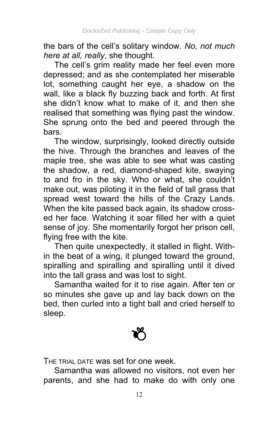the bars of the cell's solitary window. *No, not much here at all, really*, she thought.

The cell's grim reality made her feel even more depressed; and as she contemplated her miserable lot, something caught her eye, a shadow on the wall, like a black fly buzzing back and forth. At first she didn't know what to make of it, and then she realised that something was flying past the window. She sprung onto the bed and peered through the bars.

The window, surprisingly, looked directly outside the hive. Through the branches and leaves of the maple tree, she was able to see what was casting the shadow, a red, diamond-shaped kite, swaying to and fro in the sky. Who or what, she couldn't make out, was piloting it in the field of tall grass that spread west toward the hills of the Crazy Lands. When the kite passed back again, its shadow crossed her face. Watching it soar filled her with a quiet sense of joy. She momentarily forgot her prison cell, flying free with the kite.

Then quite unexpectedly, it stalled in flight. Within the beat of a wing, it plunged toward the ground, spiralling and spiralling and spiralling until it dived into the tall grass and was lost to sight.

Samantha waited for it to rise again. After ten or so minutes she gave up and lay back down on the bed, then curled into a tight ball and cried herself to sleep.



THE TRIAL DATE WAS Set for one week.

Samantha was allowed no visitors, not even her parents, and she had to make do with only one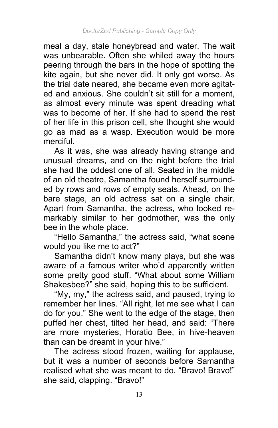meal a day, stale honeybread and water. The wait was unbearable. Often she whiled away the hours peering through the bars in the hope of spotting the kite again, but she never did. It only got worse. As the trial date neared, she became even more agitated and anxious. She couldn't sit still for a moment, as almost every minute was spent dreading what was to become of her. If she had to spend the rest of her life in this prison cell, she thought she would go as mad as a wasp. Execution would be more merciful.

As it was, she was already having strange and unusual dreams, and on the night before the trial she had the oddest one of all. Seated in the middle of an old theatre, Samantha found herself surrounded by rows and rows of empty seats. Ahead, on the bare stage, an old actress sat on a single chair. Apart from Samantha, the actress, who looked remarkably similar to her godmother, was the only bee in the whole place.

"Hello Samantha," the actress said, "what scene would you like me to act?"

Samantha didn't know many plays, but she was aware of a famous writer who'd apparently written some pretty good stuff. "What about some William Shakesbee?" she said, hoping this to be sufficient.

"My, my," the actress said, and paused, trying to remember her lines. "All right, let me see what I can do for you." She went to the edge of the stage, then puffed her chest, tilted her head, and said: "There are more mysteries, Horatio Bee, in hive-heaven than can be dreamt in your hive."

The actress stood frozen, waiting for applause, but it was a number of seconds before Samantha realised what she was meant to do. "Bravo! Bravo!" she said, clapping. "Bravo!"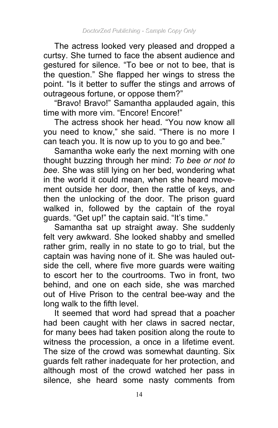The actress looked very pleased and dropped a curtsy. She turned to face the absent audience and gestured for silence. "To bee or not to bee, that is the question." She flapped her wings to stress the point. "Is it better to suffer the stings and arrows of outrageous fortune, or oppose them?"

"Bravo! Bravo!" Samantha applauded again, this time with more vim. "Encore! Encore!"

The actress shook her head. "You now know all you need to know," she said. "There is no more I can teach you. It is now up to you to go and bee."

Samantha woke early the next morning with one thought buzzing through her mind: *To bee or not to bee*. She was still lying on her bed, wondering what in the world it could mean, when she heard movement outside her door, then the rattle of keys, and then the unlocking of the door. The prison guard walked in, followed by the captain of the royal guards. "Get up!" the captain said. "It's time."

Samantha sat up straight away. She suddenly felt very awkward. She looked shabby and smelled rather grim, really in no state to go to trial, but the captain was having none of it. She was hauled outside the cell, where five more guards were waiting to escort her to the courtrooms. Two in front, two behind, and one on each side, she was marched out of Hive Prison to the central bee-way and the long walk to the fifth level.

It seemed that word had spread that a poacher had been caught with her claws in sacred nectar, for many bees had taken position along the route to witness the procession, a once in a lifetime event. The size of the crowd was somewhat daunting. Six guards felt rather inadequate for her protection, and although most of the crowd watched her pass in silence, she heard some nasty comments from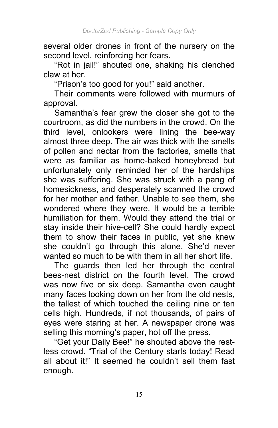several older drones in front of the nursery on the second level, reinforcing her fears.

"Rot in jail!" shouted one, shaking his clenched claw at her.

"Prison's too good for you!" said another.

Their comments were followed with murmurs of approval.

Samantha's fear grew the closer she got to the courtroom, as did the numbers in the crowd. On the third level, onlookers were lining the bee-way almost three deep. The air was thick with the smells of pollen and nectar from the factories, smells that were as familiar as home-baked honeybread but unfortunately only reminded her of the hardships she was suffering. She was struck with a pang of homesickness, and desperately scanned the crowd for her mother and father. Unable to see them, she wondered where they were. It would be a terrible humiliation for them. Would they attend the trial or stay inside their hive-cell? She could hardly expect them to show their faces in public, yet she knew she couldn't go through this alone. She'd never wanted so much to be with them in all her short life.

The guards then led her through the central bees-nest district on the fourth level. The crowd was now five or six deep. Samantha even caught many faces looking down on her from the old nests, the tallest of which touched the ceiling nine or ten cells high. Hundreds, if not thousands, of pairs of eyes were staring at her. A newspaper drone was selling this morning's paper, hot off the press.

"Get your Daily Bee!" he shouted above the restless crowd. "Trial of the Century starts today! Read all about it!" It seemed he couldn't sell them fast enough.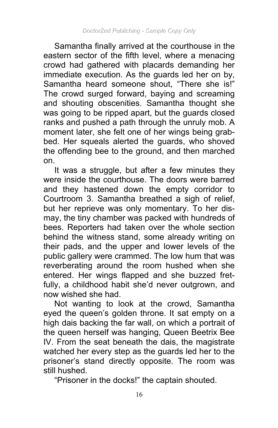Samantha finally arrived at the courthouse in the eastern sector of the fifth level, where a menacing crowd had gathered with placards demanding her immediate execution. As the guards led her on by, Samantha heard someone shout, "There she is!" The crowd surged forward, baying and screaming and shouting obscenities. Samantha thought she was going to be ripped apart, but the guards closed ranks and pushed a path through the unruly mob. A moment later, she felt one of her wings being grabbed. Her squeals alerted the guards, who shoved the offending bee to the ground, and then marched on.

It was a struggle, but after a few minutes they were inside the courthouse. The doors were barred and they hastened down the empty corridor to Courtroom 3. Samantha breathed a sigh of relief, but her reprieve was only momentary. To her dismay, the tiny chamber was packed with hundreds of bees. Reporters had taken over the whole section behind the witness stand, some already writing on their pads, and the upper and lower levels of the public gallery were crammed. The low hum that was reverberating around the room hushed when she entered. Her wings flapped and she buzzed fretfully, a childhood habit she'd never outgrown, and now wished she had.

Not wanting to look at the crowd, Samantha eyed the queen's golden throne. It sat empty on a high dais backing the far wall, on which a portrait of the queen herself was hanging, Queen Beetrix Bee IV. From the seat beneath the dais, the magistrate watched her every step as the guards led her to the prisoner's stand directly opposite. The room was still hushed.

"Prisoner in the docks!" the captain shouted.